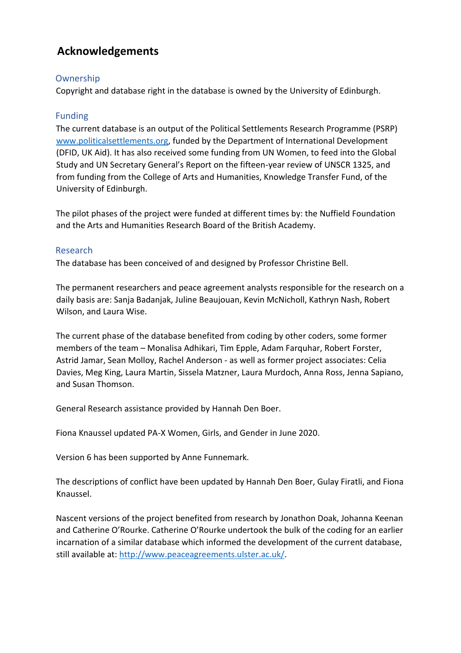# **Acknowledgements**

# Ownership

Copyright and database right in the database is owned by the University of Edinburgh.

# Funding

The current database is an output of the Political Settlements Research Programme (PSRP) www.politicalsettlements.org, funded by the Department of International Development (DFID, UK Aid). It has also received some funding from UN Women, to feed into the Global Study and UN Secretary General's Report on the fifteen-year review of UNSCR 1325, and from funding from the College of Arts and Humanities, Knowledge Transfer Fund, of the University of Edinburgh.

The pilot phases of the project were funded at different times by: the Nuffield Foundation and the Arts and Humanities Research Board of the British Academy.

# Research

The database has been conceived of and designed by Professor Christine Bell.

The permanent researchers and peace agreement analysts responsible for the research on a daily basis are: Sanja Badanjak, Juline Beaujouan, Kevin McNicholl, Kathryn Nash, Robert Wilson, and Laura Wise.

The current phase of the database benefited from coding by other coders, some former members of the team – Monalisa Adhikari, Tim Epple, Adam Farquhar, Robert Forster, Astrid Jamar, Sean Molloy, Rachel Anderson - as well as former project associates: Celia Davies, Meg King, Laura Martin, Sissela Matzner, Laura Murdoch, Anna Ross, Jenna Sapiano, and Susan Thomson.

General Research assistance provided by Hannah Den Boer.

Fiona Knaussel updated PA-X Women, Girls, and Gender in June 2020.

Version 6 has been supported by Anne Funnemark.

The descriptions of conflict have been updated by Hannah Den Boer, Gulay Firatli, and Fiona Knaussel.

Nascent versions of the project benefited from research by Jonathon Doak, Johanna Keenan and Catherine O'Rourke. Catherine O'Rourke undertook the bulk of the coding for an earlier incarnation of a similar database which informed the development of the current database, still available at: http://www.peaceagreements.ulster.ac.uk/.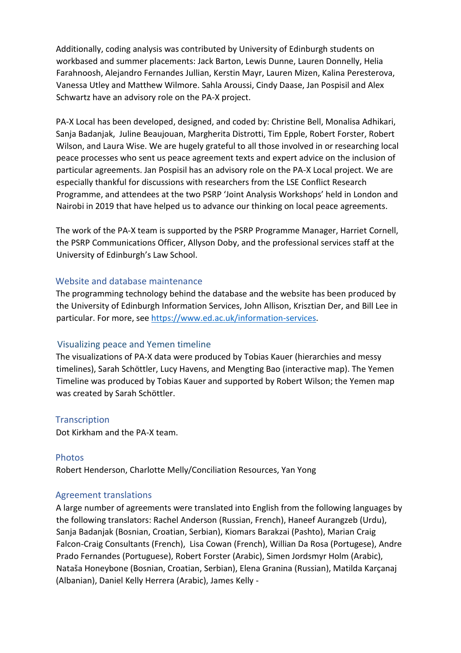Additionally, coding analysis was contributed by University of Edinburgh students on workbased and summer placements: Jack Barton, Lewis Dunne, Lauren Donnelly, Helia Farahnoosh, Alejandro Fernandes Jullian, Kerstin Mayr, Lauren Mizen, Kalina Peresterova, Vanessa Utley and Matthew Wilmore. Sahla Aroussi, Cindy Daase, Jan Pospisil and Alex Schwartz have an advisory role on the PA-X project.

PA-X Local has been developed, designed, and coded by: Christine Bell, Monalisa Adhikari, Sanja Badanjak, Juline Beaujouan, Margherita Distrotti, Tim Epple, Robert Forster, Robert Wilson, and Laura Wise. We are hugely grateful to all those involved in or researching local peace processes who sent us peace agreement texts and expert advice on the inclusion of particular agreements. Jan Pospisil has an advisory role on the PA-X Local project. We are especially thankful for discussions with researchers from the LSE Conflict Research Programme, and attendees at the two PSRP 'Joint Analysis Workshops' held in London and Nairobi in 2019 that have helped us to advance our thinking on local peace agreements.

The work of the PA-X team is supported by the PSRP Programme Manager, Harriet Cornell, the PSRP Communications Officer, Allyson Doby, and the professional services staff at the University of Edinburgh's Law School.

## Website and database maintenance

The programming technology behind the database and the website has been produced by the University of Edinburgh Information Services, John Allison, Krisztian Der, and Bill Lee in particular. For more, see https://www.ed.ac.uk/information-services.

## Visualizing peace and Yemen timeline

The visualizations of PA-X data were produced by Tobias Kauer (hierarchies and messy timelines), Sarah Schöttler, Lucy Havens, and Mengting Bao (interactive map). The Yemen Timeline was produced by Tobias Kauer and supported by Robert Wilson; the Yemen map was created by Sarah Schöttler.

## **Transcription**

Dot Kirkham and the PA-X team.

## Photos

Robert Henderson, Charlotte Melly/Conciliation Resources, Yan Yong

## Agreement translations

A large number of agreements were translated into English from the following languages by the following translators: Rachel Anderson (Russian, French), Haneef Aurangzeb (Urdu), Sanja Badanjak (Bosnian, Croatian, Serbian), Kiomars Barakzai (Pashto), Marian Craig Falcon-Craig Consultants (French), Lisa Cowan (French), Willian Da Rosa (Portugese), Andre Prado Fernandes (Portuguese), Robert Forster (Arabic), Simen Jordsmyr Holm (Arabic), Nataša Honeybone (Bosnian, Croatian, Serbian), Elena Granina (Russian), Matilda Karçanaj (Albanian), Daniel Kelly Herrera (Arabic), James Kelly -